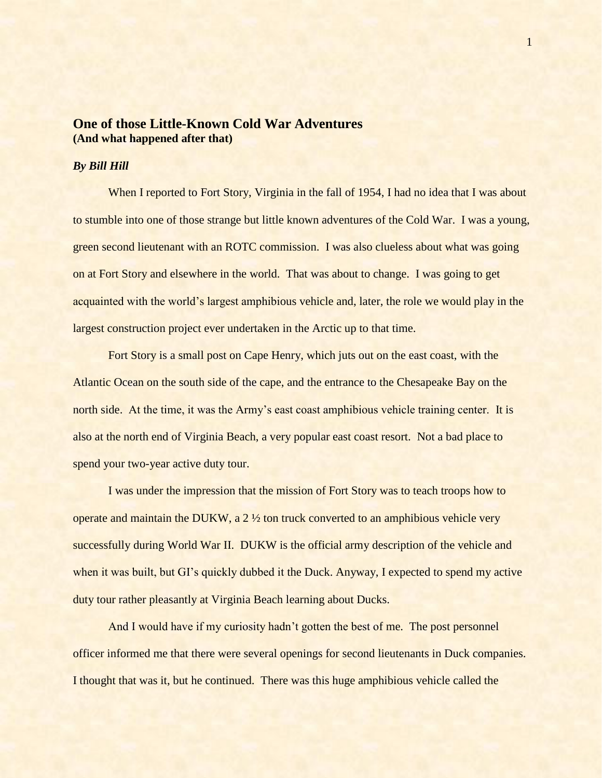## **One of those Little-Known Cold War Adventures (And what happened after that)**

## *By Bill Hill*

When I reported to Fort Story, Virginia in the fall of 1954, I had no idea that I was about to stumble into one of those strange but little known adventures of the Cold War. I was a young, green second lieutenant with an ROTC commission. I was also clueless about what was going on at Fort Story and elsewhere in the world. That was about to change. I was going to get acquainted with the world's largest amphibious vehicle and, later, the role we would play in the largest construction project ever undertaken in the Arctic up to that time.

Fort Story is a small post on Cape Henry, which juts out on the east coast, with the Atlantic Ocean on the south side of the cape, and the entrance to the Chesapeake Bay on the north side. At the time, it was the Army's east coast amphibious vehicle training center. It is also at the north end of Virginia Beach, a very popular east coast resort. Not a bad place to spend your two-year active duty tour.

I was under the impression that the mission of Fort Story was to teach troops how to operate and maintain the DUKW, a 2 ½ ton truck converted to an amphibious vehicle very successfully during World War II. DUKW is the official army description of the vehicle and when it was built, but GI's quickly dubbed it the Duck. Anyway, I expected to spend my active duty tour rather pleasantly at Virginia Beach learning about Ducks.

And I would have if my curiosity hadn't gotten the best of me. The post personnel officer informed me that there were several openings for second lieutenants in Duck companies. I thought that was it, but he continued. There was this huge amphibious vehicle called the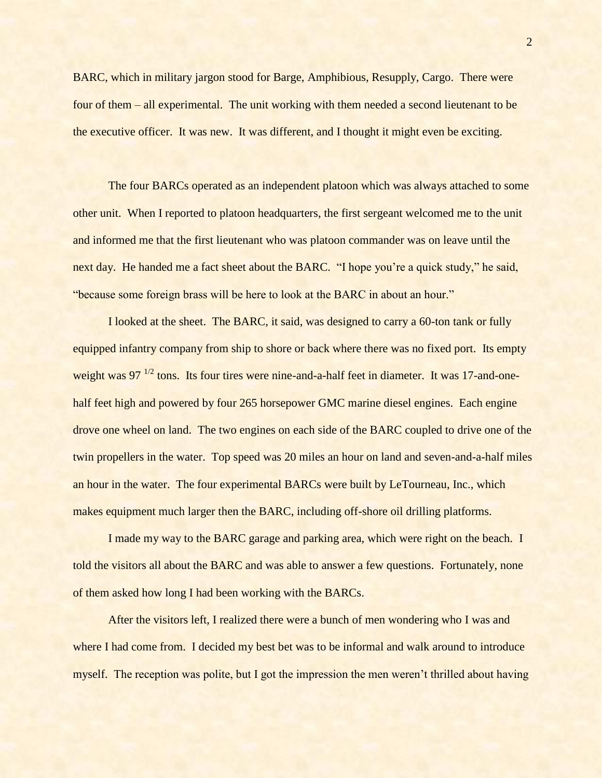BARC, which in military jargon stood for Barge, Amphibious, Resupply, Cargo. There were four of them – all experimental. The unit working with them needed a second lieutenant to be the executive officer. It was new. It was different, and I thought it might even be exciting.

The four BARCs operated as an independent platoon which was always attached to some other unit. When I reported to platoon headquarters, the first sergeant welcomed me to the unit and informed me that the first lieutenant who was platoon commander was on leave until the next day. He handed me a fact sheet about the BARC. "I hope you're a quick study," he said, "because some foreign brass will be here to look at the BARC in about an hour."

I looked at the sheet. The BARC, it said, was designed to carry a 60-ton tank or fully equipped infantry company from ship to shore or back where there was no fixed port. Its empty weight was  $97^{1/2}$  tons. Its four tires were nine-and-a-half feet in diameter. It was 17-and-onehalf feet high and powered by four 265 horsepower GMC marine diesel engines. Each engine drove one wheel on land. The two engines on each side of the BARC coupled to drive one of the twin propellers in the water. Top speed was 20 miles an hour on land and seven-and-a-half miles an hour in the water. The four experimental BARCs were built by LeTourneau, Inc., which makes equipment much larger then the BARC, including off-shore oil drilling platforms.

I made my way to the BARC garage and parking area, which were right on the beach. I told the visitors all about the BARC and was able to answer a few questions. Fortunately, none of them asked how long I had been working with the BARCs.

After the visitors left, I realized there were a bunch of men wondering who I was and where I had come from. I decided my best bet was to be informal and walk around to introduce myself. The reception was polite, but I got the impression the men weren't thrilled about having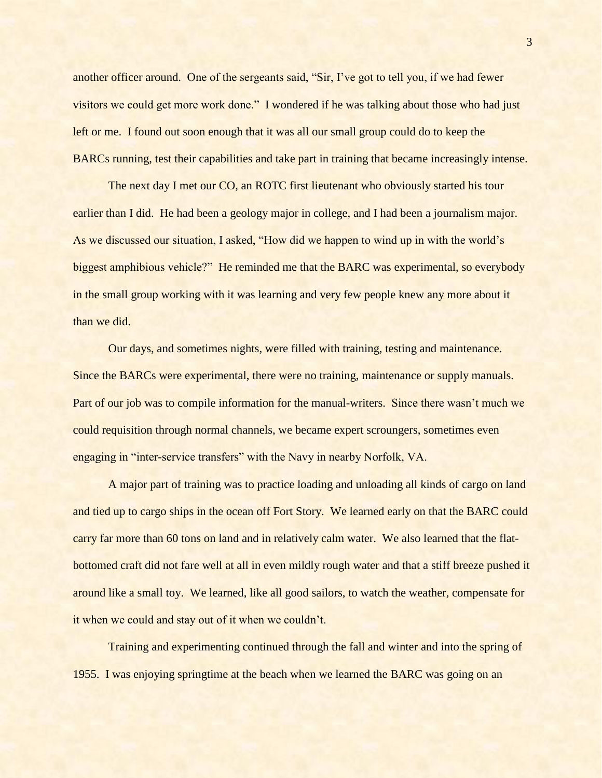another officer around. One of the sergeants said, "Sir, I've got to tell you, if we had fewer visitors we could get more work done." I wondered if he was talking about those who had just left or me. I found out soon enough that it was all our small group could do to keep the BARCs running, test their capabilities and take part in training that became increasingly intense.

The next day I met our CO, an ROTC first lieutenant who obviously started his tour earlier than I did. He had been a geology major in college, and I had been a journalism major. As we discussed our situation, I asked, "How did we happen to wind up in with the world's biggest amphibious vehicle?" He reminded me that the BARC was experimental, so everybody in the small group working with it was learning and very few people knew any more about it than we did.

Our days, and sometimes nights, were filled with training, testing and maintenance. Since the BARCs were experimental, there were no training, maintenance or supply manuals. Part of our job was to compile information for the manual-writers. Since there wasn't much we could requisition through normal channels, we became expert scroungers, sometimes even engaging in "inter-service transfers" with the Navy in nearby Norfolk, VA.

A major part of training was to practice loading and unloading all kinds of cargo on land and tied up to cargo ships in the ocean off Fort Story. We learned early on that the BARC could carry far more than 60 tons on land and in relatively calm water. We also learned that the flatbottomed craft did not fare well at all in even mildly rough water and that a stiff breeze pushed it around like a small toy. We learned, like all good sailors, to watch the weather, compensate for it when we could and stay out of it when we couldn't.

Training and experimenting continued through the fall and winter and into the spring of 1955. I was enjoying springtime at the beach when we learned the BARC was going on an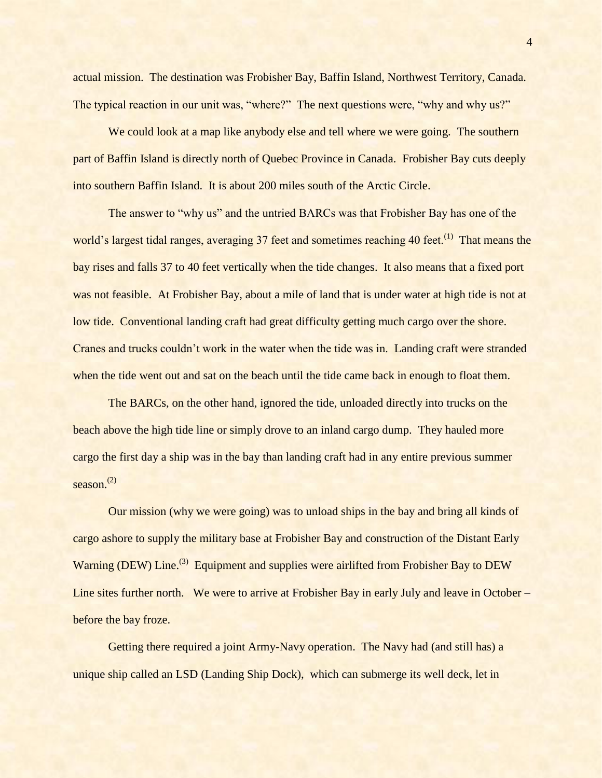actual mission. The destination was Frobisher Bay, Baffin Island, Northwest Territory, Canada. The typical reaction in our unit was, "where?" The next questions were, "why and why us?"

We could look at a map like anybody else and tell where we were going. The southern part of Baffin Island is directly north of Quebec Province in Canada. Frobisher Bay cuts deeply into southern Baffin Island. It is about 200 miles south of the Arctic Circle.

The answer to "why us" and the untried BARCs was that Frobisher Bay has one of the world's largest tidal ranges, averaging 37 feet and sometimes reaching 40 feet.<sup>(1)</sup> That means the bay rises and falls 37 to 40 feet vertically when the tide changes. It also means that a fixed port was not feasible. At Frobisher Bay, about a mile of land that is under water at high tide is not at low tide. Conventional landing craft had great difficulty getting much cargo over the shore. Cranes and trucks couldn't work in the water when the tide was in. Landing craft were stranded when the tide went out and sat on the beach until the tide came back in enough to float them.

The BARCs, on the other hand, ignored the tide, unloaded directly into trucks on the beach above the high tide line or simply drove to an inland cargo dump. They hauled more cargo the first day a ship was in the bay than landing craft had in any entire previous summer season. $^{(2)}$ 

Our mission (why we were going) was to unload ships in the bay and bring all kinds of cargo ashore to supply the military base at Frobisher Bay and construction of the Distant Early Warning (DEW) Line.<sup>(3)</sup> Equipment and supplies were airlifted from Frobisher Bay to DEW Line sites further north. We were to arrive at Frobisher Bay in early July and leave in October – before the bay froze.

Getting there required a joint Army-Navy operation. The Navy had (and still has) a unique ship called an LSD (Landing Ship Dock), which can submerge its well deck, let in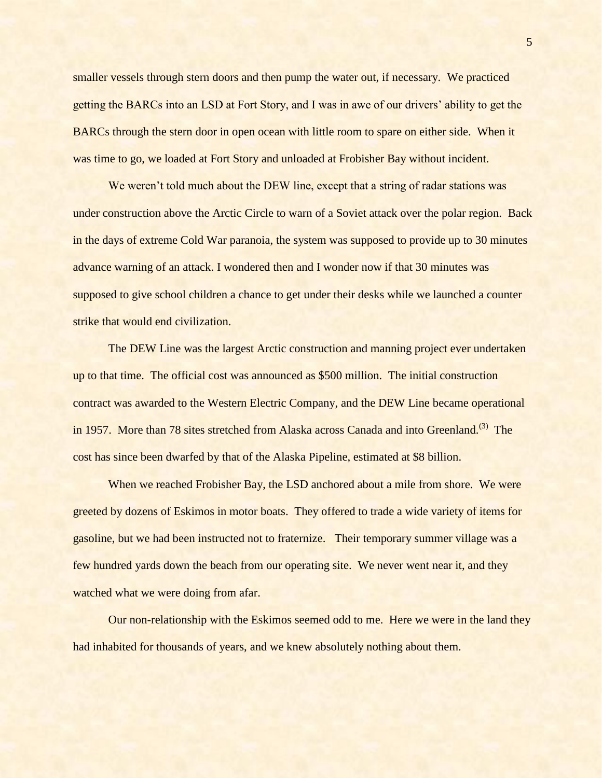smaller vessels through stern doors and then pump the water out, if necessary. We practiced getting the BARCs into an LSD at Fort Story, and I was in awe of our drivers' ability to get the BARCs through the stern door in open ocean with little room to spare on either side. When it was time to go, we loaded at Fort Story and unloaded at Frobisher Bay without incident.

We weren't told much about the DEW line, except that a string of radar stations was under construction above the Arctic Circle to warn of a Soviet attack over the polar region. Back in the days of extreme Cold War paranoia, the system was supposed to provide up to 30 minutes advance warning of an attack. I wondered then and I wonder now if that 30 minutes was supposed to give school children a chance to get under their desks while we launched a counter strike that would end civilization.

The DEW Line was the largest Arctic construction and manning project ever undertaken up to that time. The official cost was announced as \$500 million. The initial construction contract was awarded to the Western Electric Company, and the DEW Line became operational in 1957. More than 78 sites stretched from Alaska across Canada and into Greenland.<sup>(3)</sup> The cost has since been dwarfed by that of the Alaska Pipeline, estimated at \$8 billion.

When we reached Frobisher Bay, the LSD anchored about a mile from shore. We were greeted by dozens of Eskimos in motor boats. They offered to trade a wide variety of items for gasoline, but we had been instructed not to fraternize. Their temporary summer village was a few hundred yards down the beach from our operating site. We never went near it, and they watched what we were doing from afar.

Our non-relationship with the Eskimos seemed odd to me. Here we were in the land they had inhabited for thousands of years, and we knew absolutely nothing about them.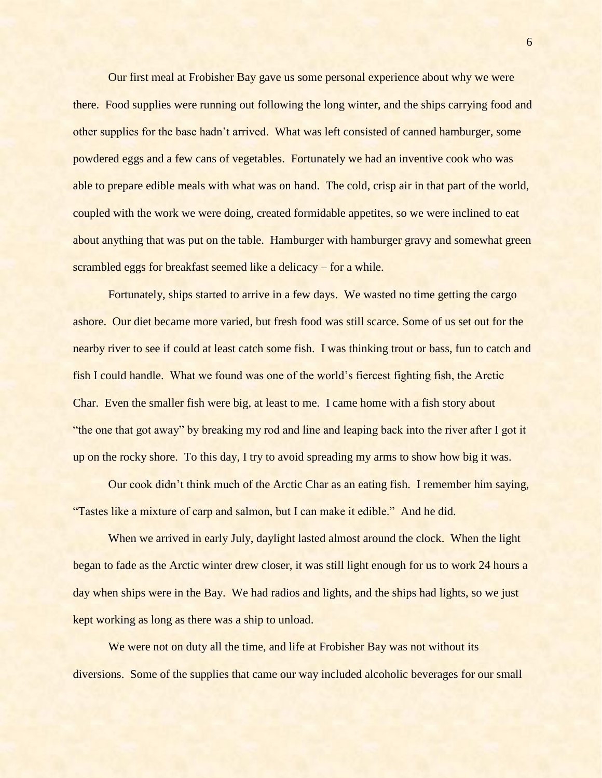Our first meal at Frobisher Bay gave us some personal experience about why we were there. Food supplies were running out following the long winter, and the ships carrying food and other supplies for the base hadn't arrived. What was left consisted of canned hamburger, some powdered eggs and a few cans of vegetables. Fortunately we had an inventive cook who was able to prepare edible meals with what was on hand. The cold, crisp air in that part of the world, coupled with the work we were doing, created formidable appetites, so we were inclined to eat about anything that was put on the table. Hamburger with hamburger gravy and somewhat green scrambled eggs for breakfast seemed like a delicacy – for a while.

Fortunately, ships started to arrive in a few days. We wasted no time getting the cargo ashore. Our diet became more varied, but fresh food was still scarce. Some of us set out for the nearby river to see if could at least catch some fish. I was thinking trout or bass, fun to catch and fish I could handle. What we found was one of the world's fiercest fighting fish, the Arctic Char. Even the smaller fish were big, at least to me. I came home with a fish story about "the one that got away" by breaking my rod and line and leaping back into the river after I got it up on the rocky shore. To this day, I try to avoid spreading my arms to show how big it was.

Our cook didn't think much of the Arctic Char as an eating fish. I remember him saying, "Tastes like a mixture of carp and salmon, but I can make it edible." And he did.

When we arrived in early July, daylight lasted almost around the clock. When the light began to fade as the Arctic winter drew closer, it was still light enough for us to work 24 hours a day when ships were in the Bay. We had radios and lights, and the ships had lights, so we just kept working as long as there was a ship to unload.

We were not on duty all the time, and life at Frobisher Bay was not without its diversions. Some of the supplies that came our way included alcoholic beverages for our small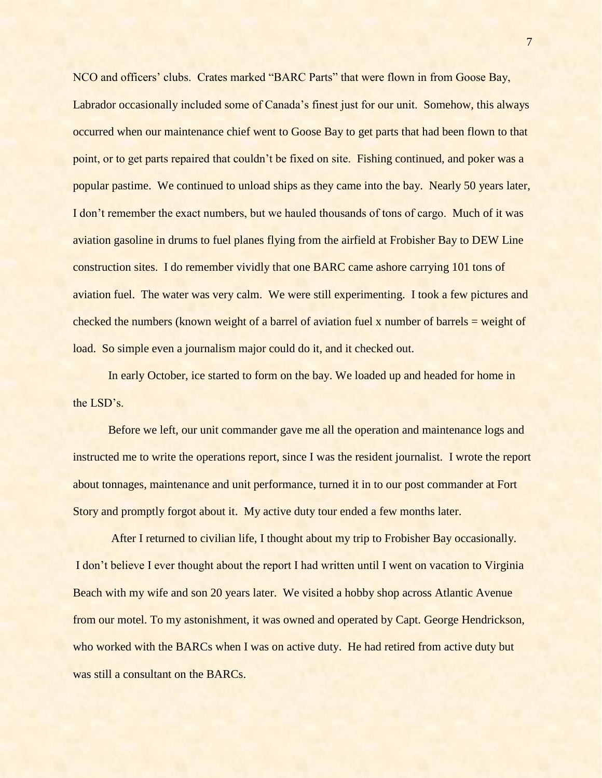NCO and officers' clubs. Crates marked "BARC Parts" that were flown in from Goose Bay, Labrador occasionally included some of Canada's finest just for our unit. Somehow, this always occurred when our maintenance chief went to Goose Bay to get parts that had been flown to that point, or to get parts repaired that couldn't be fixed on site. Fishing continued, and poker was a popular pastime. We continued to unload ships as they came into the bay. Nearly 50 years later, I don't remember the exact numbers, but we hauled thousands of tons of cargo. Much of it was aviation gasoline in drums to fuel planes flying from the airfield at Frobisher Bay to DEW Line construction sites. I do remember vividly that one BARC came ashore carrying 101 tons of aviation fuel. The water was very calm. We were still experimenting. I took a few pictures and checked the numbers (known weight of a barrel of aviation fuel x number of barrels = weight of load. So simple even a journalism major could do it, and it checked out.

In early October, ice started to form on the bay. We loaded up and headed for home in the LSD's.

Before we left, our unit commander gave me all the operation and maintenance logs and instructed me to write the operations report, since I was the resident journalist. I wrote the report about tonnages, maintenance and unit performance, turned it in to our post commander at Fort Story and promptly forgot about it. My active duty tour ended a few months later.

After I returned to civilian life, I thought about my trip to Frobisher Bay occasionally. I don't believe I ever thought about the report I had written until I went on vacation to Virginia Beach with my wife and son 20 years later. We visited a hobby shop across Atlantic Avenue from our motel. To my astonishment, it was owned and operated by Capt. George Hendrickson, who worked with the BARCs when I was on active duty. He had retired from active duty but was still a consultant on the BARCs.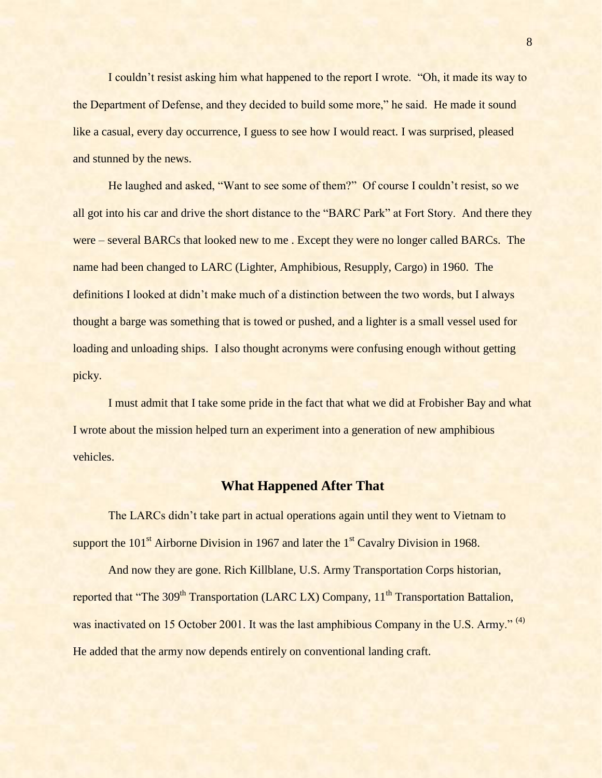I couldn't resist asking him what happened to the report I wrote. "Oh, it made its way to the Department of Defense, and they decided to build some more," he said. He made it sound like a casual, every day occurrence, I guess to see how I would react. I was surprised, pleased and stunned by the news.

He laughed and asked, "Want to see some of them?" Of course I couldn't resist, so we all got into his car and drive the short distance to the "BARC Park" at Fort Story. And there they were – several BARCs that looked new to me . Except they were no longer called BARCs. The name had been changed to LARC (Lighter, Amphibious, Resupply, Cargo) in 1960. The definitions I looked at didn't make much of a distinction between the two words, but I always thought a barge was something that is towed or pushed, and a lighter is a small vessel used for loading and unloading ships. I also thought acronyms were confusing enough without getting picky.

I must admit that I take some pride in the fact that what we did at Frobisher Bay and what I wrote about the mission helped turn an experiment into a generation of new amphibious vehicles.

## **What Happened After That**

The LARCs didn't take part in actual operations again until they went to Vietnam to support the  $101<sup>st</sup>$  Airborne Division in 1967 and later the  $1<sup>st</sup>$  Cavalry Division in 1968.

And now they are gone. Rich Killblane, U.S. Army Transportation Corps historian, reported that "The 309<sup>th</sup> Transportation (LARC LX) Company, 11<sup>th</sup> Transportation Battalion, was inactivated on 15 October 2001. It was the last amphibious Company in the U.S. Army."<sup>(4)</sup> He added that the army now depends entirely on conventional landing craft.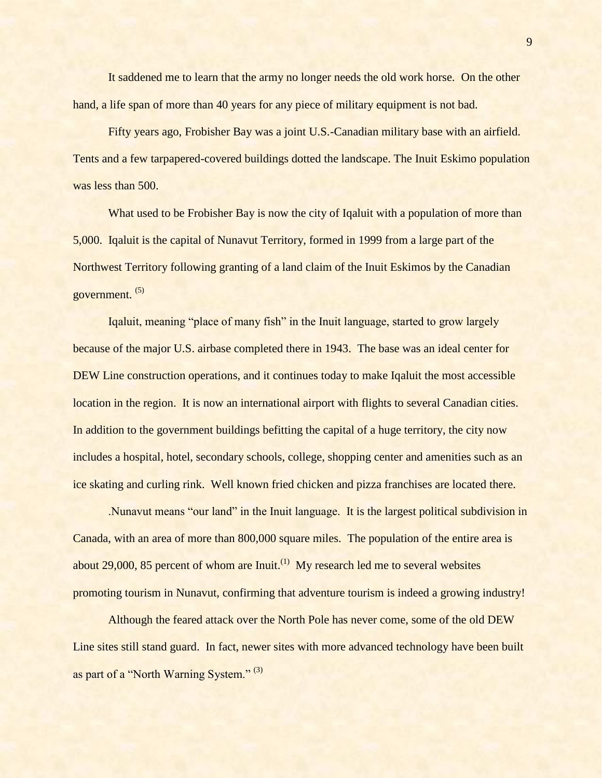It saddened me to learn that the army no longer needs the old work horse. On the other hand, a life span of more than 40 years for any piece of military equipment is not bad.

Fifty years ago, Frobisher Bay was a joint U.S.-Canadian military base with an airfield. Tents and a few tarpapered-covered buildings dotted the landscape. The Inuit Eskimo population was less than 500.

What used to be Frobisher Bay is now the city of Iqaluit with a population of more than 5,000. Iqaluit is the capital of Nunavut Territory, formed in 1999 from a large part of the Northwest Territory following granting of a land claim of the Inuit Eskimos by the Canadian government. (5)

Iqaluit, meaning "place of many fish" in the Inuit language, started to grow largely because of the major U.S. airbase completed there in 1943. The base was an ideal center for DEW Line construction operations, and it continues today to make Iqaluit the most accessible location in the region. It is now an international airport with flights to several Canadian cities. In addition to the government buildings befitting the capital of a huge territory, the city now includes a hospital, hotel, secondary schools, college, shopping center and amenities such as an ice skating and curling rink. Well known fried chicken and pizza franchises are located there.

.Nunavut means "our land" in the Inuit language. It is the largest political subdivision in Canada, with an area of more than 800,000 square miles. The population of the entire area is about  $29,000$ ,  $85$  percent of whom are Inuit.<sup>(1)</sup> My research led me to several websites promoting tourism in Nunavut, confirming that adventure tourism is indeed a growing industry!

Although the feared attack over the North Pole has never come, some of the old DEW Line sites still stand guard. In fact, newer sites with more advanced technology have been built as part of a "North Warning System." (3)